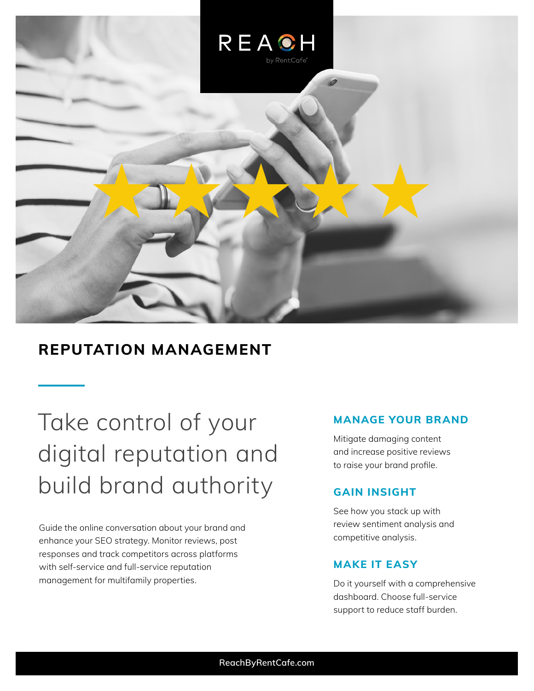

### **REPUTATION MANAGEMENT**

# Take control of your digital reputation and build brand authority

Guide the online conversation about your brand and enhance your SEO strategy. Monitor reviews, post responses and track competitors across platforms with self-service and full-service reputation management for multifamily properties.

#### **MANAGE YOUR BRAND**

Mitigate damaging content and increase positive reviews to raise your brand profile.

### **GAIN INSIGHT**

See how you stack up with review sentiment analysis and competitive analysis.

#### **MAKE IT EASY**

Do it yourself with a comprehensive dashboard. Choose full-service support to reduce staff burden.